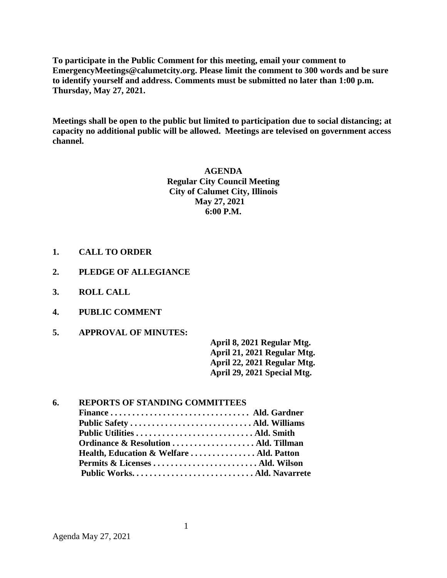**To participate in the Public Comment for this meeting, email your comment to EmergencyMeetings@calumetcity.org. Please limit the comment to 300 words and be sure to identify yourself and address. Comments must be submitted no later than 1:00 p.m. Thursday, May 27, 2021.**

**Meetings shall be open to the public but limited to participation due to social distancing; at capacity no additional public will be allowed. Meetings are televised on government access channel.**

> **AGENDA Regular City Council Meeting City of Calumet City, Illinois May 27, 2021 6:00 P.M.**

- **1. CALL TO ORDER**
- **2. PLEDGE OF ALLEGIANCE**
- **3. ROLL CALL**
- **4. PUBLIC COMMENT**
- **5. APPROVAL OF MINUTES:**

**April 8, 2021 Regular Mtg. April 21, 2021 Regular Mtg. April 22, 2021 Regular Mtg. April 29, 2021 Special Mtg.** 

| 6. | <b>REPORTS OF STANDING COMMITTEES</b>    |  |  |
|----|------------------------------------------|--|--|
|    |                                          |  |  |
|    |                                          |  |  |
|    |                                          |  |  |
|    | Ordinance & Resolution  Ald. Tillman     |  |  |
|    | Health, Education & Welfare  Ald. Patton |  |  |
|    |                                          |  |  |
|    |                                          |  |  |
|    |                                          |  |  |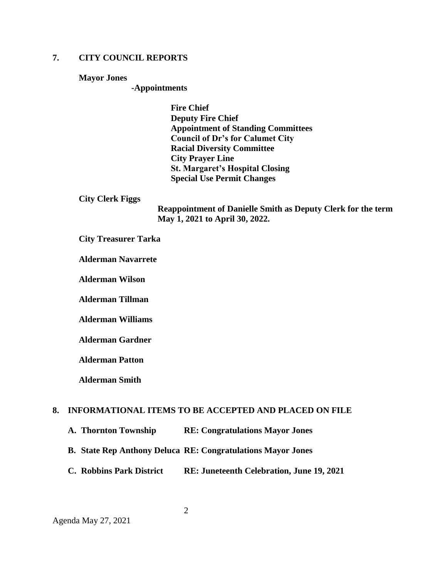# **7. CITY COUNCIL REPORTS**

#### **Mayor Jones**

#### **-Appointments**

**Fire Chief Deputy Fire Chief Appointment of Standing Committees Council of Dr's for Calumet City Racial Diversity Committee City Prayer Line St. Margaret's Hospital Closing Special Use Permit Changes**

#### **City Clerk Figgs**

**Reappointment of Danielle Smith as Deputy Clerk for the term May 1, 2021 to April 30, 2022.**

### **City Treasurer Tarka**

### **Alderman Navarrete**

**Alderman Wilson**

**Alderman Tillman**

**Alderman Williams**

**Alderman Gardner**

**Alderman Patton**

**Alderman Smith**

### **8. INFORMATIONAL ITEMS TO BE ACCEPTED AND PLACED ON FILE**

- **A. Thornton Township RE: Congratulations Mayor Jones**
- **B. State Rep Anthony Deluca RE: Congratulations Mayor Jones**
- **C. Robbins Park District RE: Juneteenth Celebration, June 19, 2021**

Agenda May 27, 2021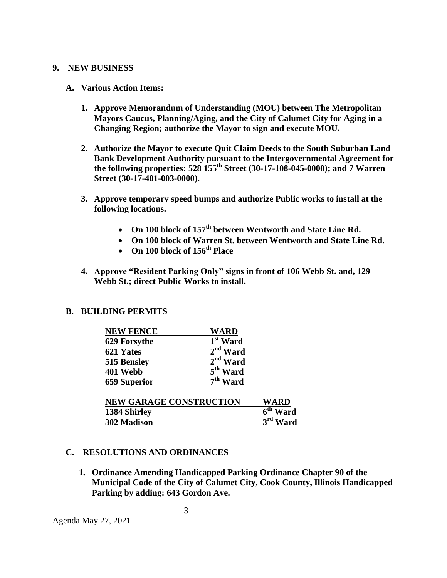### **9. NEW BUSINESS**

### **A. Various Action Items:**

- **1. Approve Memorandum of Understanding (MOU) between The Metropolitan Mayors Caucus, Planning/Aging, and the City of Calumet City for Aging in a Changing Region; authorize the Mayor to sign and execute MOU.**
- **2. Authorize the Mayor to execute Quit Claim Deeds to the South Suburban Land Bank Development Authority pursuant to the Intergovernmental Agreement for the following properties: 528 155th Street (30-17-108-045-0000); and 7 Warren Street (30-17-401-003-0000).**
- **3. Approve temporary speed bumps and authorize Public works to install at the following locations.**
	- **On 100 block of 157th between Wentworth and State Line Rd.**
	- **On 100 block of Warren St. between Wentworth and State Line Rd.**
	- **On 100 block of 156th Place**
- **4. Approve "Resident Parking Only" signs in front of 106 Webb St. and, 129 Webb St.; direct Public Works to install.**

## **B. BUILDING PERMITS**

| <b>NEW FENCE</b>               | <b>WARD</b>          |                      |
|--------------------------------|----------------------|----------------------|
| 629 Forsythe                   | 1 <sup>st</sup> Ward |                      |
| 621 Yates                      | $2nd$ Ward           |                      |
| 515 Bensley                    | $2nd$ Ward           |                      |
| 401 Webb                       | 5 <sup>th</sup> Ward |                      |
| <b>659 Superior</b>            | $7th$ Ward           |                      |
| <b>NEW GARAGE CONSTRUCTION</b> |                      | WARD                 |
| 1384 Shirley                   |                      | 6 <sup>th</sup> Ward |
| 302 Madison                    |                      | $3rd$ Ward           |

## **C. RESOLUTIONS AND ORDINANCES**

**1. Ordinance Amending Handicapped Parking Ordinance Chapter 90 of the Municipal Code of the City of Calumet City, Cook County, Illinois Handicapped Parking by adding: 643 Gordon Ave.**

3

Agenda May 27, 2021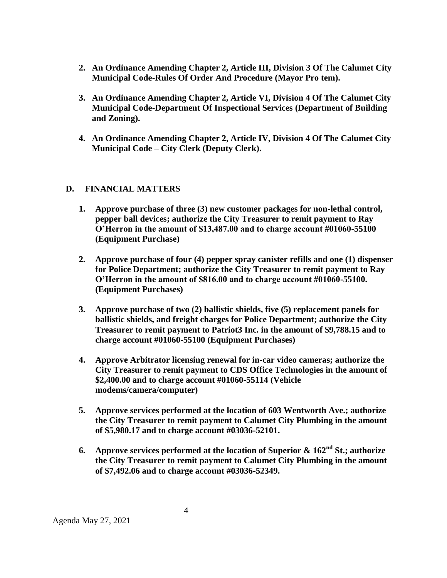- **2. An Ordinance Amending Chapter 2, Article III, Division 3 Of The Calumet City Municipal Code-Rules Of Order And Procedure (Mayor Pro tem).**
- **3. An Ordinance Amending Chapter 2, Article VI, Division 4 Of The Calumet City Municipal Code-Department Of Inspectional Services (Department of Building and Zoning).**
- **4. An Ordinance Amending Chapter 2, Article IV, Division 4 Of The Calumet City Municipal Code – City Clerk (Deputy Clerk).**

# **D. FINANCIAL MATTERS**

- **1. Approve purchase of three (3) new customer packages for non-lethal control, pepper ball devices; authorize the City Treasurer to remit payment to Ray O'Herron in the amount of \$13,487.00 and to charge account #01060-55100 (Equipment Purchase)**
- **2. Approve purchase of four (4) pepper spray canister refills and one (1) dispenser for Police Department; authorize the City Treasurer to remit payment to Ray O'Herron in the amount of \$816.00 and to charge account #01060-55100. (Equipment Purchases)**
- **3. Approve purchase of two (2) ballistic shields, five (5) replacement panels for ballistic shields, and freight charges for Police Department; authorize the City Treasurer to remit payment to Patriot3 Inc. in the amount of \$9,788.15 and to charge account #01060-55100 (Equipment Purchases)**
- **4. Approve Arbitrator licensing renewal for in-car video cameras; authorize the City Treasurer to remit payment to CDS Office Technologies in the amount of \$2,400.00 and to charge account #01060-55114 (Vehicle modems/camera/computer)**
- **5. Approve services performed at the location of 603 Wentworth Ave.; authorize the City Treasurer to remit payment to Calumet City Plumbing in the amount of \$5,980.17 and to charge account #03036-52101.**
- **6. Approve services performed at the location of Superior & 162nd St.; authorize the City Treasurer to remit payment to Calumet City Plumbing in the amount of \$7,492.06 and to charge account #03036-52349.**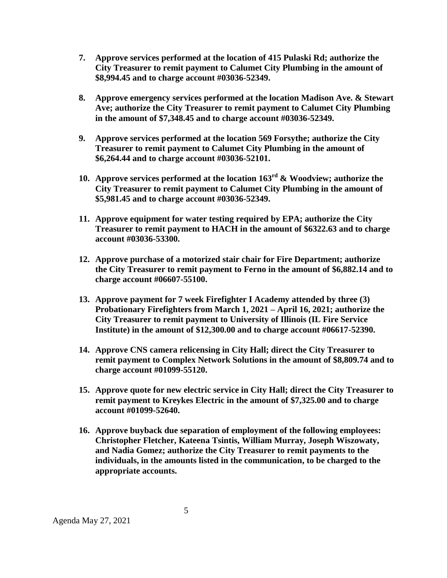- **7. Approve services performed at the location of 415 Pulaski Rd; authorize the City Treasurer to remit payment to Calumet City Plumbing in the amount of \$8,994.45 and to charge account #03036-52349.**
- **8. Approve emergency services performed at the location Madison Ave. & Stewart Ave; authorize the City Treasurer to remit payment to Calumet City Plumbing in the amount of \$7,348.45 and to charge account #03036-52349.**
- **9. Approve services performed at the location 569 Forsythe; authorize the City Treasurer to remit payment to Calumet City Plumbing in the amount of \$6,264.44 and to charge account #03036-52101.**
- **10. Approve services performed at the location 163rd & Woodview; authorize the City Treasurer to remit payment to Calumet City Plumbing in the amount of \$5,981.45 and to charge account #03036-52349.**
- **11. Approve equipment for water testing required by EPA; authorize the City Treasurer to remit payment to HACH in the amount of \$6322.63 and to charge account #03036-53300.**
- **12. Approve purchase of a motorized stair chair for Fire Department; authorize the City Treasurer to remit payment to Ferno in the amount of \$6,882.14 and to charge account #06607-55100.**
- **13. Approve payment for 7 week Firefighter I Academy attended by three (3) Probationary Firefighters from March 1, 2021 – April 16, 2021; authorize the City Treasurer to remit payment to University of Illinois (IL Fire Service Institute) in the amount of \$12,300.00 and to charge account #06617-52390.**
- **14. Approve CNS camera relicensing in City Hall; direct the City Treasurer to remit payment to Complex Network Solutions in the amount of \$8,809.74 and to charge account #01099-55120.**
- **15. Approve quote for new electric service in City Hall; direct the City Treasurer to remit payment to Kreykes Electric in the amount of \$7,325.00 and to charge account #01099-52640.**
- **16. Approve buyback due separation of employment of the following employees: Christopher Fletcher, Kateena Tsintis, William Murray, Joseph Wiszowaty, and Nadia Gomez; authorize the City Treasurer to remit payments to the individuals, in the amounts listed in the communication, to be charged to the appropriate accounts.**